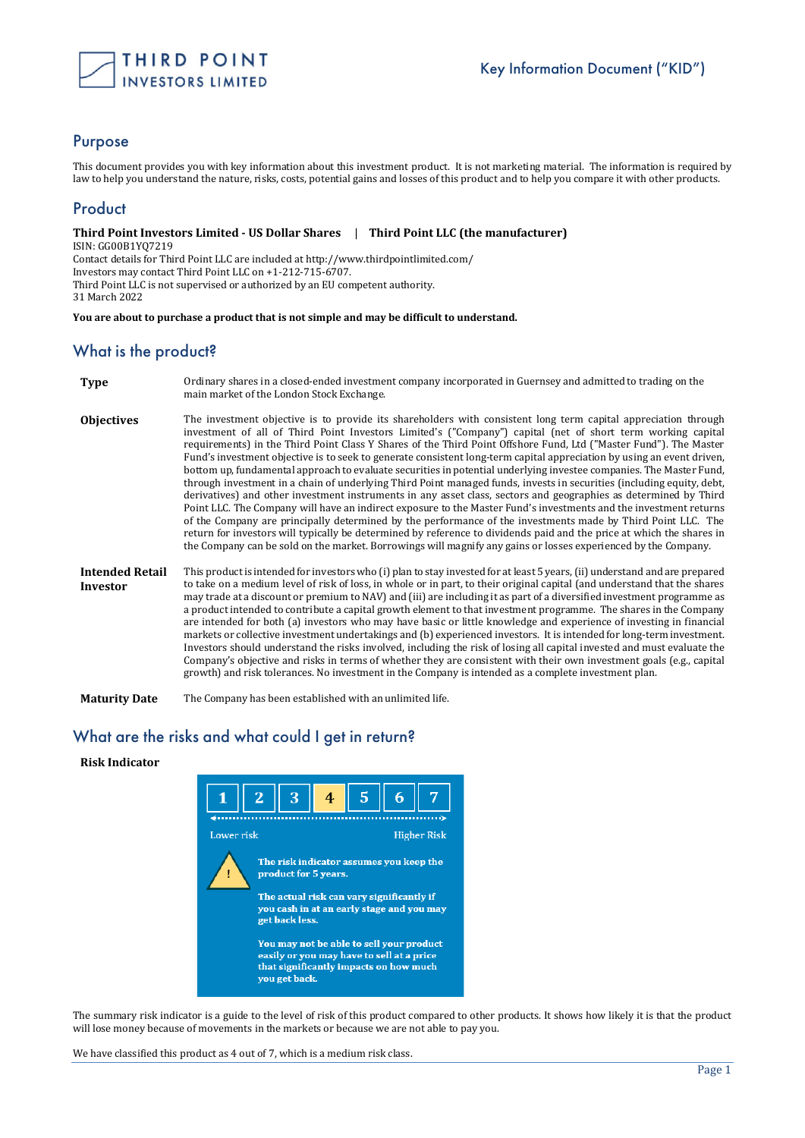

#### Purpose

This document provides you with key information about this investment product. It is not marketing material. The information is required by law to help you understand the nature, risks, costs, potential gains and losses of this product and to help you compare it with other products.

## **Product**

**Third Point Investors Limited - US Dollar Shares** | **Third Point LLC (the manufacturer)** ISIN: GG00B1YQ7219 Contact details for Third Point LLC are included at http://www.thirdpointlimited.com/ Investors may contact Third Point LLC on +1-212-715-6707. Third Point LLC is not supervised or authorized by an EU competent authority. 31 March 2022

**You are about to purchase a product that is not simple and may be difficult to understand.**

### What is the product?

- **Type** Ordinary shares in a closed-ended investment company incorporated in Guernsey and admitted to trading on the main market of the London Stock Exchange.
- **Objectives** The investment objective is to provide its shareholders with consistent long term capital appreciation through investment of all of Third Point Investors Limited's ("Company") capital (net of short term working capital requirements) in the Third Point Class Y Shares of the Third Point Offshore Fund, Ltd ("Master Fund"). The Master Fund's investment objective is to seek to generate consistent long-term capital appreciation by using an event driven, bottom up, fundamental approach to evaluate securities in potential underlying investee companies. The Master Fund, through investment in a chain of underlying Third Point managed funds, invests in securities (including equity, debt, derivatives) and other investment instruments in any asset class, sectors and geographies as determined by Third Point LLC. The Company will have an indirect exposure to the Master Fund's investments and the investment returns of the Company are principally determined by the performance of the investments made by Third Point LLC. The return for investors will typically be determined by reference to dividends paid and the price at which the shares in the Company can be sold on the market. Borrowings will magnify any gains or losses experienced by the Company.
- **Intended Retail Investor** This product is intended for investors who (i) plan to stay invested for at least 5 years, (ii) understand and are prepared to take on a medium level of risk of loss, in whole or in part, to their original capital (and understand that the shares may trade at a discount or premium to NAV) and (iii) are including it as part of a diversified investment programme as a product intended to contribute a capital growth element to that investment programme. The shares in the Company are intended for both (a) investors who may have basic or little knowledge and experience of investing in financial markets or collective investment undertakings and (b) experienced investors. It is intended for long-term investment. Investors should understand the risks involved, including the risk of losing all capital invested and must evaluate the Company's objective and risks in terms of whether they are consistent with their own investment goals (e.g., capital growth) and risk tolerances. No investment in the Company is intended as a complete investment plan.

**Maturity Date** The Company has been established with an unlimited life.

### What are the risks and what could I get in return?

#### **Risk Indicator**



The summary risk indicator is a guide to the level of risk of this product compared to other products. It shows how likely it is that the product will lose money because of movements in the markets or because we are not able to pay you.

We have classified this product as 4 out of 7, which is a medium risk class.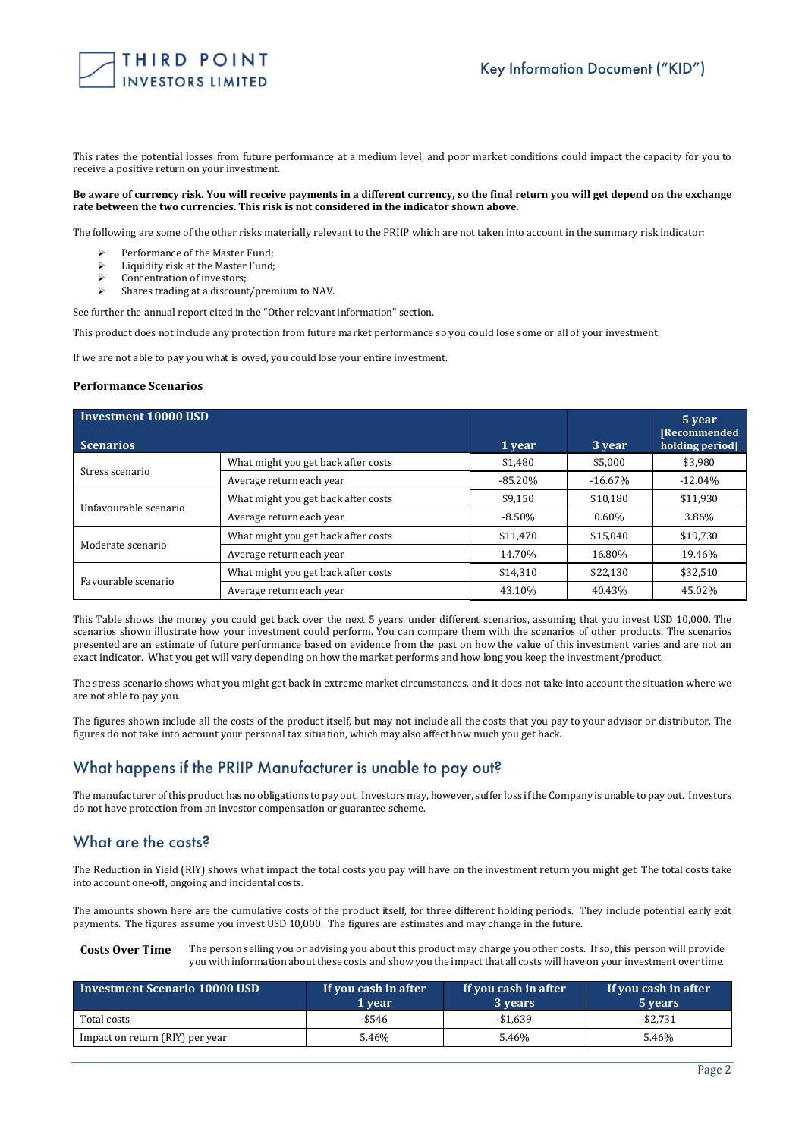

This rates the potential losses from future performance at a medium level, and poor market conditions could impact the capacity for you to receive a positive return on your investment.

#### **Be aware of currency risk. You will receive payments in a different currency, so the final return you will get depend on the exchange rate between the two currencies. This risk is not considered in the indicator shown above.**

The following are some of the other risks materially relevant to the PRIIP which are not taken into account in the summary risk indicator:

- Performance of the Master Fund;
- $\geq$  Liquidity risk at the Master Fund;<br> $\geq$  Concentration of investors:
- Concentration of investors;
- Shares trading at a discount/premium to NAV.

See further the annual report cited in the "Other relevant information" section.

This product does not include any protection from future market performance so you could lose some or all of your investment.

If we are not able to pay you what is owed, you could lose your entire investment.

#### **Performance Scenarios**

| Investment 10000 USD<br><b>Scenarios</b> | 1 year                              | 3 year     | 5 year<br><b>[Recommended</b><br>holding period] |           |
|------------------------------------------|-------------------------------------|------------|--------------------------------------------------|-----------|
| Stress scenario                          | What might you get back after costs | \$1,480    | \$5,000                                          | \$3,980   |
|                                          | Average return each year            | $-85.20\%$ | $-16.67%$                                        | $-12.04%$ |
| Unfavourable scenario                    | What might you get back after costs | \$9,150    | \$10,180                                         | \$11,930  |
|                                          | Average return each year            | $-8.50%$   | 0.60%                                            | 3.86%     |
| Moderate scenario                        | What might you get back after costs | \$11,470   | \$15,040                                         | \$19,730  |
|                                          | Average return each year            | 14.70%     | 16.80%                                           | 19.46%    |
| Favourable scenario                      | What might you get back after costs | \$14,310   | \$22,130                                         | \$32,510  |
|                                          | Average return each year            | 43.10%     | 40.43%                                           | 45.02%    |

This Table shows the money you could get back over the next 5 years, under different scenarios, assuming that you invest USD 10,000. The scenarios shown illustrate how your investment could perform. You can compare them with the scenarios of other products. The scenarios presented are an estimate of future performance based on evidence from the past on how the value of this investment varies and are not an exact indicator. What you get will vary depending on how the market performs and how long you keep the investment/product.

The stress scenario shows what you might get back in extreme market circumstances, and it does not take into account the situation where we are not able to pay you.

The figures shown include all the costs of the product itself, but may not include all the costs that you pay to your advisor or distributor. The figures do not take into account your personal tax situation, which may also affect how much you get back.

### What happens if the PRIIP Manufacturer is unable to pay out?

The manufacturer of this product has no obligations to pay out. Investors may, however, suffer loss if the Company is unable to pay out. Investors do not have protection from an investor compensation or guarantee scheme.

### What are the costs?

The Reduction in Yield (RIY) shows what impact the total costs you pay will have on the investment return you might get. The total costs take into account one-off, ongoing and incidental costs.

The amounts shown here are the cumulative costs of the product itself, for three different holding periods. They include potential early exit payments. The figures assume you invest USD 10,000. The figures are estimates and may change in the future.

**Costs Over Time** The person selling you or advising you about this product may charge you other costs. If so, this person will provide you with information about these costs and show you the impact that all costs will have on your investment over time.

| <b>Investment Scenario 10000 USD</b> | If you cash in after<br>1 vear | If you cash in after<br>3 years | If you cash in after<br>5 years |
|--------------------------------------|--------------------------------|---------------------------------|---------------------------------|
| Total costs                          | $-$ \$546                      | -\$1.639                        | $-$ \$2.731                     |
| Impact on return (RIY) per year      | 5.46%                          | 5.46%                           | 5.46%                           |